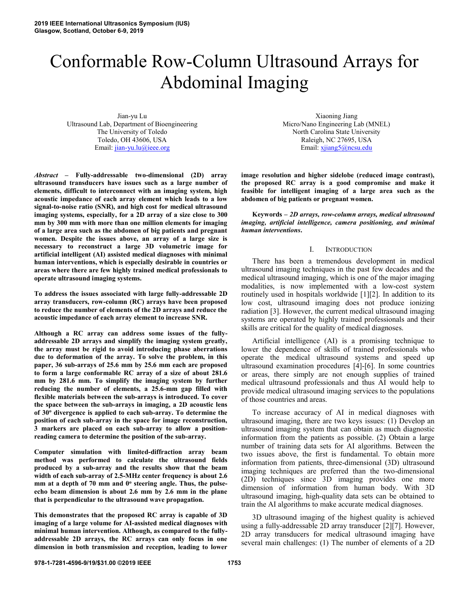# Conformable Row-Column Ultrasound Arrays for Abdominal Imaging

Jian-yu Lu Ultrasound Lab, Department of Bioengineering The University of Toledo Toledo, OH 43606, USA Email: jian-yu.lu@ieee.org

*Abstract* **– Fully-addressable two-dimensional (2D) array ultrasound transducers have issues such as a large number of elements, difficult to interconnect with an imaging system, high acoustic impedance of each array element which leads to a low signal-to-noise ratio (SNR), and high cost for medical ultrasound imaging systems, especially, for a 2D array of a size close to 300 mm by 300 mm with more than one million elements for imaging of a large area such as the abdomen of big patients and pregnant women. Despite the issues above, an array of a large size is necessary to reconstruct a large 3D volumetric image for artificial intelligent (AI) assisted medical diagnoses with minimal human interventions, which is especially desirable in countries or areas where there are few highly trained medical professionals to operate ultrasound imaging systems.** 

**To address the issues associated with large fully-addressable 2D array transducers, row-column (RC) arrays have been proposed to reduce the number of elements of the 2D arrays and reduce the acoustic impedance of each array element to increase SNR.** 

**Although a RC array can address some issues of the fullyaddressable 2D arrays and simplify the imaging system greatly, the array must be rigid to avoid introducing phase aberrations due to deformation of the array. To solve the problem, in this paper, 36 sub-arrays of 25.6 mm by 25.6 mm each are proposed to form a large conformable RC array of a size of about 281.6 mm by 281.6 mm. To simplify the imaging system by further reducing the number of elements, a 25.6-mm gap filled with flexible materials between the sub-arrays is introduced. To cover the space between the sub-arrays in imaging, a 2D acoustic lens of 30<sup>o</sup> divergence is applied to each sub-array. To determine the position of each sub-array in the space for image reconstruction, 3 markers are placed on each sub-array to allow a positionreading camera to determine the position of the sub-array.** 

**Computer simulation with limited-diffraction array beam method was performed to calculate the ultrasound fields produced by a sub-array and the results show that the beam width of each sub-array of 2.5-MHz center frequency is about 2.6**  mm at a depth of 70 mm and 0<sup>o</sup> steering angle. Thus, the pulse**echo beam dimension is about 2.6 mm by 2.6 mm in the plane that is perpendicular to the ultrasound wave propagation.** 

**This demonstrates that the proposed RC array is capable of 3D imaging of a large volume for AI-assisted medical diagnoses with minimal human intervention. Although, as compared to the fullyaddressable 2D arrays, the RC arrays can only focus in one dimension in both transmission and reception, leading to lower** 

Xiaoning Jiang Micro/Nano Engineering Lab (MNEL) North Carolina State University Raleigh, NC 27695, USA Email: xjiang5@ncsu.edu

**image resolution and higher sidelobe (reduced image contrast), the proposed RC array is a good compromise and make it feasible for intelligent imaging of a large area such as the abdomen of big patients or pregnant women.** 

**Keywords –** *2D arrays, row-column arrays, medical ultrasound imaging, artificial intelligence, camera positioning, and minimal human interventions***.** 

## I. INTRODUCTION

There has been a tremendous development in medical ultrasound imaging techniques in the past few decades and the medical ultrasound imaging, which is one of the major imaging modalities, is now implemented with a low-cost system routinely used in hospitals worldwide [1][2]. In addition to its low cost, ultrasound imaging does not produce ionizing radiation [3]. However, the current medical ultrasound imaging systems are operated by highly trained professionals and their skills are critical for the quality of medical diagnoses.

Artificial intelligence (AI) is a promising technique to lower the dependence of skills of trained professionals who operate the medical ultrasound systems and speed up ultrasound examination procedures [4]-[6]. In some countries or areas, there simply are not enough supplies of trained medical ultrasound professionals and thus AI would help to provide medical ultrasound imaging services to the populations of those countries and areas.

To increase accuracy of AI in medical diagnoses with ultrasound imaging, there are two keys issues: (1) Develop an ultrasound imaging system that can obtain as much diagnostic information from the patients as possible. (2) Obtain a large number of training data sets for AI algorithms. Between the two issues above, the first is fundamental. To obtain more information from patients, three-dimensional (3D) ultrasound imaging techniques are preferred than the two-dimensional (2D) techniques since 3D imaging provides one more dimension of information from human body. With 3D ultrasound imaging, high-quality data sets can be obtained to train the AI algorithms to make accurate medical diagnoses.

3D ultrasound imaging of the highest quality is achieved using a fully-addressable 2D array transducer [2][7]. However, 2D array transducers for medical ultrasound imaging have several main challenges: (1) The number of elements of a 2D

**978-1-7281-4596-9/19/\$31.00 ©2019 IEEE 1753**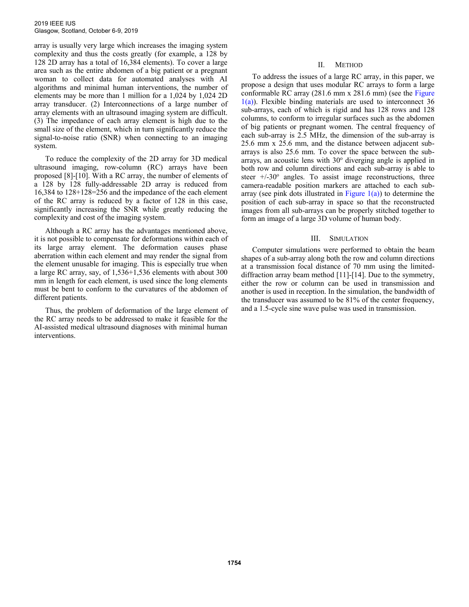array is usually very large which increases the imaging system complexity and thus the costs greatly (for example, a 128 by 128 2D array has a total of 16,384 elements). To cover a large area such as the entire abdomen of a big patient or a pregnant woman to collect data for automated analyses with AI algorithms and minimal human interventions, the number of elements may be more than 1 million for a 1,024 by 1,024 2D array transducer. (2) Interconnections of a large number of array elements with an ultrasound imaging system are difficult. (3) The impedance of each array element is high due to the small size of the element, which in turn significantly reduce the signal-to-noise ratio (SNR) when connecting to an imaging system.

To reduce the complexity of the 2D array for 3D medical ultrasound imaging, row-column (RC) arrays have been proposed [8]-[10]. With a RC array, the number of elements of a 128 by 128 fully-addressable 2D array is reduced from 16,384 to 128+128=256 and the impedance of the each element of the RC array is reduced by a factor of 128 in this case, significantly increasing the SNR while greatly reducing the complexity and cost of the imaging system.

Although a RC array has the advantages mentioned above, it is not possible to compensate for deformations within each of its large array element. The deformation causes phase aberration within each element and may render the signal from the element unusable for imaging. This is especially true when a large RC array, say, of 1,536+1,536 elements with about 300 mm in length for each element, is used since the long elements must be bent to conform to the curvatures of the abdomen of different patients.

Thus, the problem of deformation of the large element of the RC array needs to be addressed to make it feasible for the AI-assisted medical ultrasound diagnoses with minimal human interventions.

## II. METHOD

To address the issues of a large RC array, in this paper, we propose a design that uses modular RC arrays to form a large conformable RC array (281.6 mm x 281.6 mm) (see the Figure  $1(a)$ ). Flexible binding materials are used to interconnect 36 sub-arrays, each of which is rigid and has 128 rows and 128 columns, to conform to irregular surfaces such as the abdomen of big patients or pregnant women. The central frequency of each sub-array is 2.5 MHz, the dimension of the sub-array is 25.6 mm x 25.6 mm, and the distance between adjacent subarrays is also 25.6 mm. To cover the space between the subarrays, an acoustic lens with  $30^{\circ}$  diverging angle is applied in both row and column directions and each sub-array is able to steer  $+/30°$  angles. To assist image reconstructions, three camera-readable position markers are attached to each subarray (see pink dots illustrated in Figure  $1(a)$ ) to determine the position of each sub-array in space so that the reconstructed images from all sub-arrays can be properly stitched together to form an image of a large 3D volume of human body.

## III. SIMULATION

Computer simulations were performed to obtain the beam shapes of a sub-array along both the row and column directions at a transmission focal distance of 70 mm using the limiteddiffraction array beam method [11]-[14]. Due to the symmetry, either the row or column can be used in transmission and another is used in reception. In the simulation, the bandwidth of the transducer was assumed to be 81% of the center frequency, and a 1.5-cycle sine wave pulse was used in transmission.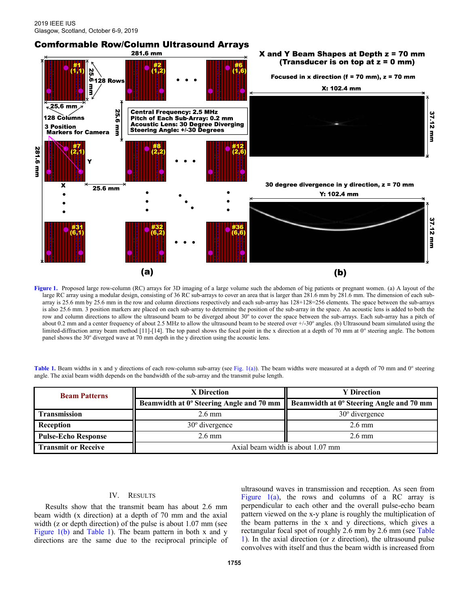# **Comformable Row/Column Ultrasound Arrays** 281.6 mm X and Y Beam Shapes at Depth z = 70 mm (Transducer is on top at  $z = 0$  mm) Focused in x direction (f = 70 mm),  $z = 70$  mm X: 102.4 mm  $\overline{.}$  25.6 mm **25.6 Central Frequency: 2.5 MHz** 37.12 mm Pitch of Each Sub-Array: 0.2 mm<br>Acoustic Lens: 30 Degree Diverging 128 Columns **3** Position uu<br>B Steering Angle: +/-30 Degrees **Markers for Camera** 281 6 mm 30 degree divergence in y direction,  $z = 70$  mm X 25.6 mm Y: 102.4 mm 37.12 mm  $(a)$  $(b)$

Figure 1. Proposed large row-column (RC) arrays for 3D imaging of a large volume such the abdomen of big patients or pregnant women. (a) A layout of the large RC array using a modular design, consisting of 36 RC sub-arrays to cover an area that is larger than 281.6 mm by 281.6 mm. The dimension of each subarray is 25.6 mm by 25.6 mm in the row and column directions respectively and each sub-array has 128+128=256 elements. The space between the sub-arrays is also 25.6 mm. 3 position markers are placed on each sub-array to determine the position of the sub-array in the space. An acoustic lens is added to both the row and column directions to allow the ultrasound beam to be diverged about 30° to cover the space between the sub-arrays. Each sub-array has a pitch of about 0.2 mm and a center frequency of about 2.5 MHz to allow the ultrasound beam to be steered over +/-30° angles. (b) Ultrasound beam simulated using the limited-diffraction array beam method [11]-[14]. The top panel shows the focal point in the x direction at a depth of 70 mm at 0° steering angle. The bottom panel shows the  $30^{\circ}$  diverged wave at  $70$  mm depth in the y direction using the acoustic lens.

| <b>Beam Patterns</b>       | X Direction                                     | <b>Y</b> Direction                       |
|----------------------------|-------------------------------------------------|------------------------------------------|
|                            | <b>Beamwidth at 0° Steering Angle and 70 mm</b> | Beamwidth at 0° Steering Angle and 70 mm |
| Transmission               | $2.6 \text{ mm}$                                | $30^{\circ}$ divergence                  |
| <b>Reception</b>           | $30^{\circ}$ divergence                         | $2.6 \text{ mm}$                         |
| <b>Pulse-Echo Response</b> | $2.6 \text{ mm}$                                | $2.6 \text{ mm}$                         |
| <b>Transmit or Receive</b> | Axial beam width is about 1.07 mm               |                                          |

Table 1. Beam widths in x and y directions of each row-column sub-array (see Fig. 1(a)). The beam widths were measured at a depth of 70 mm and 0° steering angle. The axial beam width depends on the bandwidth of the sub-array and the transmit pulse length.

# IV. RESULTS

Results show that the transmit beam has about 2.6 mm beam width (x direction) at a depth of 70 mm and the axial width (z or depth direction) of the pulse is about 1.07 mm (see Figure 1(b) and Table 1). The beam pattern in both x and y directions are the same due to the reciprocal principle of ultrasound waves in transmission and reception. As seen from Figure  $1(a)$ , the rows and columns of a RC array is perpendicular to each other and the overall pulse-echo beam pattern viewed on the x-y plane is roughly the multiplication of the beam patterns in the x and y directions, which gives a rectangular focal spot of roughly 2.6 mm by 2.6 mm (see Table 1). In the axial direction (or z direction), the ultrasound pulse convolves with itself and thus the beam width is increased from